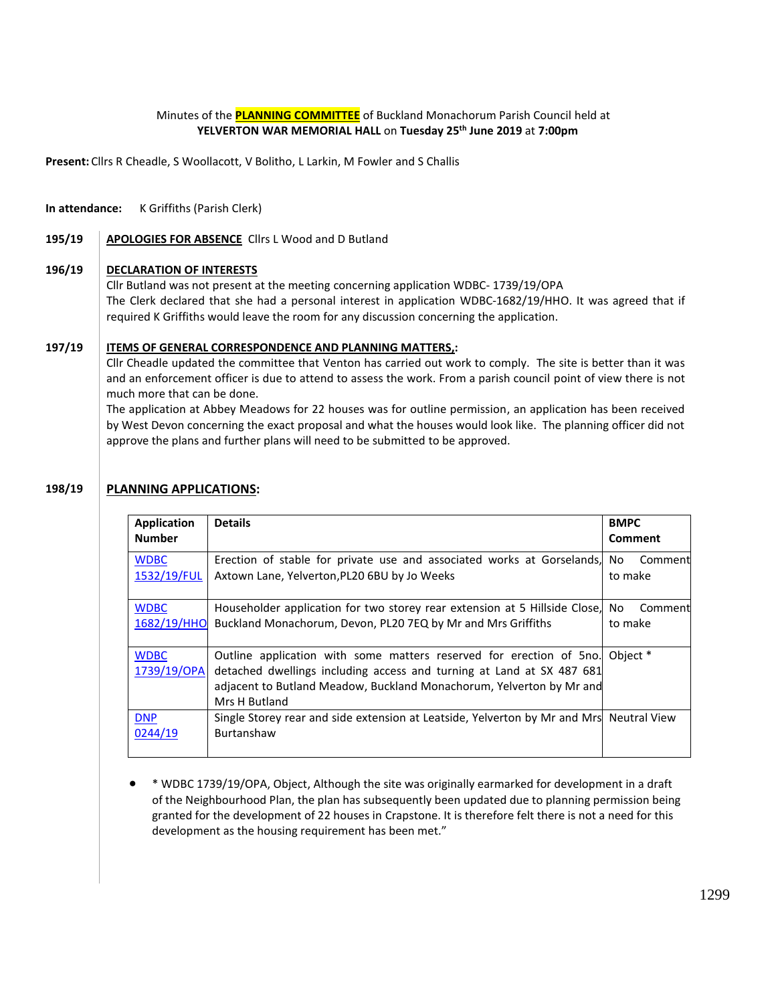# Minutes of the **PLANNING COMMITTEE** of Buckland Monachorum Parish Council held at **YELVERTON WAR MEMORIAL HALL** on **Tuesday 25 th June 2019** at **7:00pm**

**Present:** Cllrs R Cheadle, S Woollacott, V Bolitho, L Larkin, M Fowler and S Challis

### **In attendance:** K Griffiths (Parish Clerk)

## 195/19 | **APOLOGIES FOR ABSENCE** Cllrs L Wood and D Butland

### **196/19 DECLARATION OF INTERESTS**

Cllr Butland was not present at the meeting concerning application WDBC- 1739/19/OPA The Clerk declared that she had a personal interest in application WDBC-1682/19/HHO. It was agreed that if required K Griffiths would leave the room for any discussion concerning the application.

#### **197/19 ITEMS OF GENERAL CORRESPONDENCE AND PLANNING MATTERS,:**

Cllr Cheadle updated the committee that Venton has carried out work to comply. The site is better than it was and an enforcement officer is due to attend to assess the work. From a parish council point of view there is not much more that can be done.

The application at Abbey Meadows for 22 houses was for outline permission, an application has been received by West Devon concerning the exact proposal and what the houses would look like. The planning officer did not approve the plans and further plans will need to be submitted to be approved.

#### **198/19 PLANNING APPLICATIONS:**

| <b>Application</b><br><b>Number</b> | <b>Details</b>                                                                                                                                                                                                                        | <b>BMPC</b><br>Comment    |
|-------------------------------------|---------------------------------------------------------------------------------------------------------------------------------------------------------------------------------------------------------------------------------------|---------------------------|
| <b>WDBC</b><br>1532/19/FUL          | Erection of stable for private use and associated works at Gorselands,<br>Axtown Lane, Yelverton, PL20 6BU by Jo Weeks                                                                                                                | No.<br>Comment<br>to make |
| <b>WDBC</b><br>1682/19/HHO          | Householder application for two storey rear extension at 5 Hillside Close,<br>Buckland Monachorum, Devon, PL20 7EQ by Mr and Mrs Griffiths                                                                                            | No<br>Comment<br>to make  |
| <b>WDBC</b><br>1739/19/OPA          | Outline application with some matters reserved for erection of 5no.<br>detached dwellings including access and turning at Land at SX 487 681<br>adjacent to Butland Meadow, Buckland Monachorum, Yelverton by Mr and<br>Mrs H Butland | Object *                  |
| <b>DNP</b><br>0244/19               | Single Storey rear and side extension at Leatside, Yelverton by Mr and Mrs Neutral View<br>Burtanshaw                                                                                                                                 |                           |

• \* WDBC 1739/19/OPA, Object, Although the site was originally earmarked for development in a draft of the Neighbourhood Plan, the plan has subsequently been updated due to planning permission being granted for the development of 22 houses in Crapstone. It is therefore felt there is not a need for this development as the housing requirement has been met."